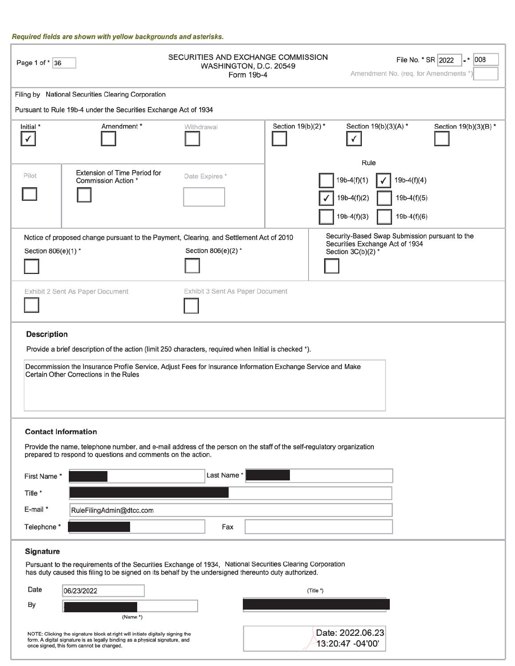#### Required fields are shown with yellow backgrounds and asterisks.

| Page 1 of * 36                                                                                                                                                                                                                                                                       |                                                                  | SECURITIES AND EXCHANGE COMMISSION<br>WASHINGTON, D.C. 20549<br>Form 19b-4 |                   |                                                         | File No. * SR 2022<br>$  008$<br>Amendment No. (req. for Amendments *) |  |
|--------------------------------------------------------------------------------------------------------------------------------------------------------------------------------------------------------------------------------------------------------------------------------------|------------------------------------------------------------------|----------------------------------------------------------------------------|-------------------|---------------------------------------------------------|------------------------------------------------------------------------|--|
|                                                                                                                                                                                                                                                                                      | Filing by National Securities Clearing Corporation               |                                                                            |                   |                                                         |                                                                        |  |
|                                                                                                                                                                                                                                                                                      | Pursuant to Rule 19b-4 under the Securities Exchange Act of 1934 |                                                                            |                   |                                                         |                                                                        |  |
| Initial *                                                                                                                                                                                                                                                                            | Amendment*                                                       | Withdrawal                                                                 | Section 19(b)(2)* | Section 19(b)(3)(A) *                                   | Section 19(b)(3)(B) *                                                  |  |
| Pilot                                                                                                                                                                                                                                                                                | <b>Extension of Time Period for</b><br>Commission Action *       | Date Expires*                                                              |                   | Rule<br>$19b-4(f)(1)$<br>$19b-4(f)(2)$<br>$19b-4(f)(3)$ | $19b-4(f)(4)$<br>$19b-4(f)(5)$<br>$19b-4(f)(6)$                        |  |
| Security-Based Swap Submission pursuant to the<br>Notice of proposed change pursuant to the Payment, Clearing, and Settlement Act of 2010<br>Securities Exchange Act of 1934<br>Section 806(e)(2)*<br>Section 806(e)(1) *<br>Section 3C(b)(2)*                                       |                                                                  |                                                                            |                   |                                                         |                                                                        |  |
| Exhibit 3 Sent As Paper Document<br>Exhibit 2 Sent As Paper Document                                                                                                                                                                                                                 |                                                                  |                                                                            |                   |                                                         |                                                                        |  |
| <b>Description</b><br>Provide a brief description of the action (limit 250 characters, required when Initial is checked *).<br>Decommission the Insurance Profile Service, Adjust Fees for Insurance Information Exchange Service and Make<br>Certain Other Corrections in the Rules |                                                                  |                                                                            |                   |                                                         |                                                                        |  |
| <b>Contact Information</b><br>Provide the name, telephone number, and e-mail address of the person on the staff of the self-regulatory organization<br>prepared to respond to questions and comments on the action.                                                                  |                                                                  |                                                                            |                   |                                                         |                                                                        |  |
| Last Name*<br>First Name*                                                                                                                                                                                                                                                            |                                                                  |                                                                            |                   |                                                         |                                                                        |  |
| Title *                                                                                                                                                                                                                                                                              |                                                                  |                                                                            |                   |                                                         |                                                                        |  |
| E-mail *<br>RuleFilingAdmin@dtcc.com                                                                                                                                                                                                                                                 |                                                                  |                                                                            |                   |                                                         |                                                                        |  |
| Telephone *                                                                                                                                                                                                                                                                          |                                                                  | Fax                                                                        |                   |                                                         |                                                                        |  |
| Signature                                                                                                                                                                                                                                                                            |                                                                  |                                                                            |                   |                                                         |                                                                        |  |
| Pursuant to the requirements of the Securities Exchange of 1934, National Securities Clearing Corporation<br>has duty caused this filing to be signed on its behalf by the undersigned thereunto duty authorized.                                                                    |                                                                  |                                                                            |                   |                                                         |                                                                        |  |
| Date                                                                                                                                                                                                                                                                                 | 06/23/2022                                                       |                                                                            |                   | (Title *)                                               |                                                                        |  |
| By                                                                                                                                                                                                                                                                                   | (Name *)                                                         |                                                                            |                   |                                                         |                                                                        |  |
| NOTE: Clicking the signature block at right will initiate digitally signing the<br>form. A digital signature is as legally binding as a physical signature, and<br>once signed, this form cannot be changed.                                                                         |                                                                  |                                                                            |                   | Date: 2022.06.23<br>13:20:47 -04'00'                    |                                                                        |  |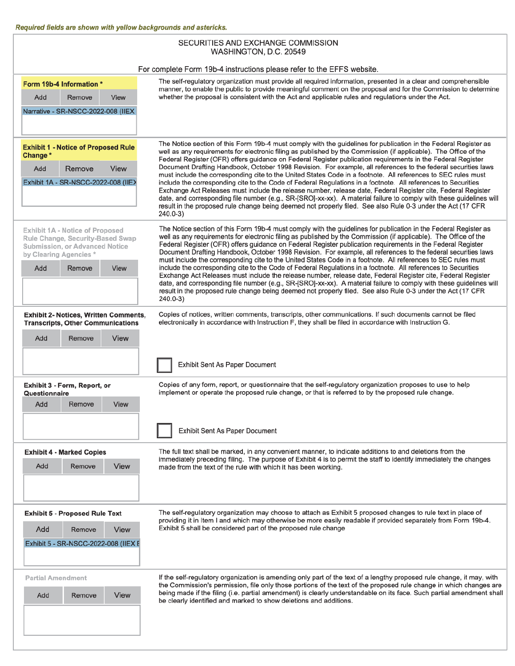ľ

| SECURITIES AND EXCHANGE COMMISSION<br>WASHINGTON, D.C. 20549                                                                                                    |                                                                                                                                                                                                                                                                                                                                                                                                                                                                                                                                                                                                                                                                                                        |  |  |  |  |
|-----------------------------------------------------------------------------------------------------------------------------------------------------------------|--------------------------------------------------------------------------------------------------------------------------------------------------------------------------------------------------------------------------------------------------------------------------------------------------------------------------------------------------------------------------------------------------------------------------------------------------------------------------------------------------------------------------------------------------------------------------------------------------------------------------------------------------------------------------------------------------------|--|--|--|--|
| For complete Form 19b-4 instructions please refer to the EFFS website.                                                                                          |                                                                                                                                                                                                                                                                                                                                                                                                                                                                                                                                                                                                                                                                                                        |  |  |  |  |
| Form 19b-4 Information *                                                                                                                                        | The self-regulatory organization must provide all required information, presented in a clear and comprehensible<br>manner, to enable the public to provide meaningful comment on the proposal and for the Commission to determine<br>whether the proposal is consistent with the Act and applicable rules and regulations under the Act.                                                                                                                                                                                                                                                                                                                                                               |  |  |  |  |
| Add<br>Remove<br>View                                                                                                                                           |                                                                                                                                                                                                                                                                                                                                                                                                                                                                                                                                                                                                                                                                                                        |  |  |  |  |
| Narrative - SR-NSCC-2022-008 (IIEX                                                                                                                              |                                                                                                                                                                                                                                                                                                                                                                                                                                                                                                                                                                                                                                                                                                        |  |  |  |  |
| <b>Exhibit 1 - Notice of Proposed Rule</b><br>Change*                                                                                                           | The Notice section of this Form 19b-4 must comply with the guidelines for publication in the Federal Register as<br>well as any requirements for electronic filing as published by the Commission (if applicable). The Office of the<br>Federal Register (OFR) offers guidance on Federal Register publication requirements in the Federal Register                                                                                                                                                                                                                                                                                                                                                    |  |  |  |  |
| Remove<br><b>View</b><br>Add                                                                                                                                    | Document Drafting Handbook, October 1998 Revision. For example, all references to the federal securities laws<br>must include the corresponding cite to the United States Code in a footnote. All references to SEC rules must                                                                                                                                                                                                                                                                                                                                                                                                                                                                         |  |  |  |  |
| Exhibit 1A - SR-NSCC-2022-008 (IIE>                                                                                                                             | include the corresponding cite to the Code of Federal Regulations in a footnote. All references to Securities<br>Exchange Act Releases must include the release number, release date, Federal Register cite, Federal Register<br>date, and corresponding file number (e.g., SR-[SRO]-xx-xx). A material failure to comply with these guidelines will<br>result in the proposed rule change being deemed not properly filed. See also Rule 0-3 under the Act (17 CFR<br>$240.0 - 3$                                                                                                                                                                                                                     |  |  |  |  |
| Exhibit 1A - Notice of Proposed<br>Rule Change, Security-Based Swap<br>Submission, or Advanced Notice<br>by Clearing Agencies *<br>Remove<br><b>View</b><br>Add | The Notice section of this Form 19b-4 must comply with the guidelines for publication in the Federal Register as<br>well as any requirements for electronic filing as published by the Commission (if applicable). The Office of the<br>Federal Register (OFR) offers guidance on Federal Register publication requirements in the Federal Register<br>Document Drafting Handbook, October 1998 Revision. For example, all references to the federal securities laws<br>must include the corresponding cite to the United States Code in a footnote. All references to SEC rules must<br>include the corresponding cite to the Code of Federal Regulations in a footnote. All references to Securities |  |  |  |  |
|                                                                                                                                                                 | Exchange Act Releases must include the release number, release date, Federal Register cite, Federal Register<br>date, and corresponding file number (e.g., SR-[SRO]-xx-xx). A material failure to comply with these guidelines will<br>result in the proposed rule change being deemed not properly filed. See also Rule 0-3 under the Act (17 CFR<br>240.0-3)                                                                                                                                                                                                                                                                                                                                         |  |  |  |  |
| <b>Exhibit 2- Notices, Written Comments,</b><br><b>Transcripts, Other Communications</b>                                                                        | Copies of notices, written comments, transcripts, other communications. If such documents cannot be filed<br>electronically in accordance with Instruction F, they shall be filed in accordance with Instruction G.                                                                                                                                                                                                                                                                                                                                                                                                                                                                                    |  |  |  |  |
| View<br>Add<br>Remove                                                                                                                                           |                                                                                                                                                                                                                                                                                                                                                                                                                                                                                                                                                                                                                                                                                                        |  |  |  |  |
|                                                                                                                                                                 | Exhibit Sent As Paper Document                                                                                                                                                                                                                                                                                                                                                                                                                                                                                                                                                                                                                                                                         |  |  |  |  |
| Exhibit 3 - Form, Report, or<br>Questionnaire                                                                                                                   | Copies of any form, report, or questionnaire that the self-regulatory organization proposes to use to help<br>implement or operate the proposed rule change, or that is referred to by the proposed rule change.                                                                                                                                                                                                                                                                                                                                                                                                                                                                                       |  |  |  |  |
| Add<br>Remove<br>View                                                                                                                                           |                                                                                                                                                                                                                                                                                                                                                                                                                                                                                                                                                                                                                                                                                                        |  |  |  |  |
|                                                                                                                                                                 | Exhibit Sent As Paper Document                                                                                                                                                                                                                                                                                                                                                                                                                                                                                                                                                                                                                                                                         |  |  |  |  |
| <b>Exhibit 4 - Marked Copies</b><br>Add<br>Remove<br>View                                                                                                       | The full text shall be marked, in any convenient manner, to indicate additions to and deletions from the<br>immediately preceding filing. The purpose of Exhibit 4 is to permit the staff to identify immediately the changes<br>made from the text of the rule with which it has been working.                                                                                                                                                                                                                                                                                                                                                                                                        |  |  |  |  |
| <b>Exhibit 5 - Proposed Rule Text</b>                                                                                                                           | The self-regulatory organization may choose to attach as Exhibit 5 proposed changes to rule text in place of<br>providing it in Item I and which may otherwise be more easily readable if provided separately from Form 19b-4.                                                                                                                                                                                                                                                                                                                                                                                                                                                                         |  |  |  |  |
| Add<br>Remove<br>View<br>Exhibit 5 - SR-NSCC-2022-008 (IIEX E                                                                                                   | Exhibit 5 shall be considered part of the proposed rule change                                                                                                                                                                                                                                                                                                                                                                                                                                                                                                                                                                                                                                         |  |  |  |  |
| <b>Partial Amendment</b>                                                                                                                                        | If the self-regulatory organization is amending only part of the text of a lengthy proposed rule change, it may, with                                                                                                                                                                                                                                                                                                                                                                                                                                                                                                                                                                                  |  |  |  |  |
| View<br>Add<br>Remove                                                                                                                                           | the Commission's permission, file only those portions of the text of the proposed rule change in which changes are<br>being made if the filing (i.e. partial amendment) is clearly understandable on its face. Such partial amendment shall<br>be clearly identified and marked to show deletions and additions.                                                                                                                                                                                                                                                                                                                                                                                       |  |  |  |  |
|                                                                                                                                                                 |                                                                                                                                                                                                                                                                                                                                                                                                                                                                                                                                                                                                                                                                                                        |  |  |  |  |

ı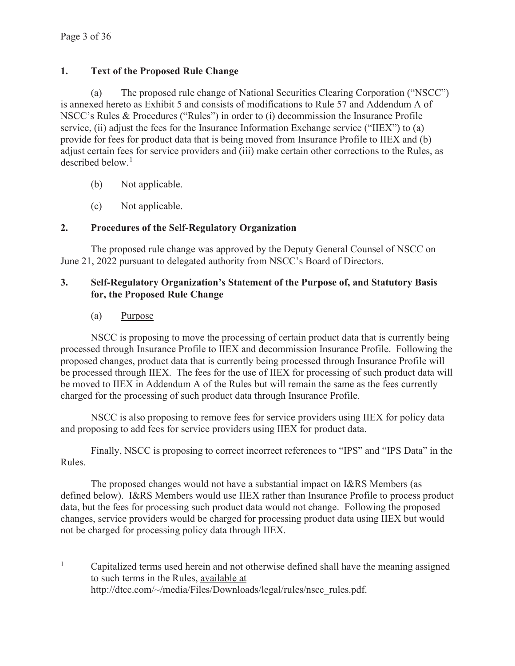## **1. Text of the Proposed Rule Change**

(a) The proposed rule change of National Securities Clearing Corporation ("NSCC") is annexed hereto as Exhibit 5 and consists of modifications to Rule 57 and Addendum A of NSCC's Rules & Procedures ("Rules") in order to (i) decommission the Insurance Profile service, (ii) adjust the fees for the Insurance Information Exchange service ("IIEX") to (a) provide for fees for product data that is being moved from Insurance Profile to IIEX and (b) adjust certain fees for service providers and (iii) make certain other corrections to the Rules, as described below.<sup>1</sup>

- (b) Not applicable.
- (c) Not applicable.

## **2. Procedures of the Self-Regulatory Organization**

 The proposed rule change was approved by the Deputy General Counsel of NSCC on June 21, 2022 pursuant to delegated authority from NSCC's Board of Directors.

## **3. Self-Regulatory Organization's Statement of the Purpose of, and Statutory Basis for, the Proposed Rule Change**

(a) Purpose

NSCC is proposing to move the processing of certain product data that is currently being processed through Insurance Profile to IIEX and decommission Insurance Profile. Following the proposed changes, product data that is currently being processed through Insurance Profile will be processed through IIEX. The fees for the use of IIEX for processing of such product data will be moved to IIEX in Addendum A of the Rules but will remain the same as the fees currently charged for the processing of such product data through Insurance Profile.

NSCC is also proposing to remove fees for service providers using IIEX for policy data and proposing to add fees for service providers using IIEX for product data.

Finally, NSCC is proposing to correct incorrect references to "IPS" and "IPS Data" in the Rules.

The proposed changes would not have a substantial impact on I&RS Members (as defined below). I&RS Members would use IIEX rather than Insurance Profile to process product data, but the fees for processing such product data would not change. Following the proposed changes, service providers would be charged for processing product data using IIEX but would not be charged for processing policy data through IIEX.

<sup>1</sup> Capitalized terms used herein and not otherwise defined shall have the meaning assigned to such terms in the Rules, available at http://dtcc.com/~/media/Files/Downloads/legal/rules/nscc\_rules.pdf.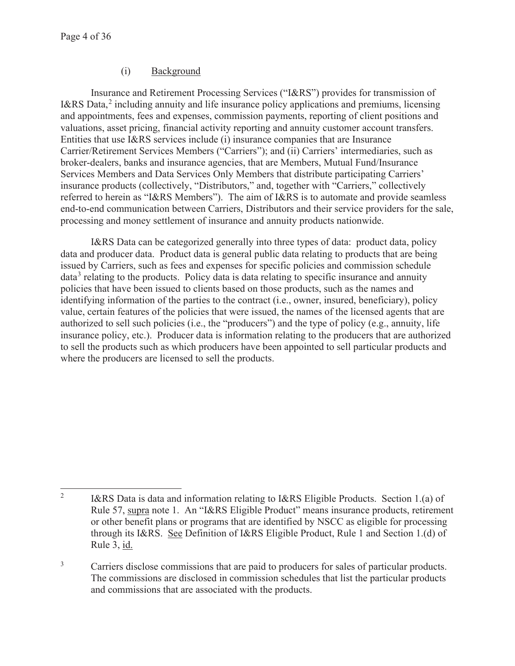## (i) Background

Insurance and Retirement Processing Services ("I&RS") provides for transmission of I&RS Data, $^2$  including annuity and life insurance policy applications and premiums, licensing and appointments, fees and expenses, commission payments, reporting of client positions and valuations, asset pricing, financial activity reporting and annuity customer account transfers. Entities that use I&RS services include (i) insurance companies that are Insurance Carrier/Retirement Services Members ("Carriers"); and (ii) Carriers' intermediaries, such as broker-dealers, banks and insurance agencies, that are Members, Mutual Fund/Insurance Services Members and Data Services Only Members that distribute participating Carriers' insurance products (collectively, "Distributors," and, together with "Carriers," collectively referred to herein as "I&RS Members"). The aim of I&RS is to automate and provide seamless end-to-end communication between Carriers, Distributors and their service providers for the sale, processing and money settlement of insurance and annuity products nationwide.

I&RS Data can be categorized generally into three types of data: product data, policy data and producer data. Product data is general public data relating to products that are being issued by Carriers, such as fees and expenses for specific policies and commission schedule data<sup>3</sup> relating to the products. Policy data is data relating to specific insurance and annuity policies that have been issued to clients based on those products, such as the names and identifying information of the parties to the contract (i.e., owner, insured, beneficiary), policy value, certain features of the policies that were issued, the names of the licensed agents that are authorized to sell such policies (i.e., the "producers") and the type of policy (e.g., annuity, life insurance policy, etc.). Producer data is information relating to the producers that are authorized to sell the products such as which producers have been appointed to sell particular products and where the producers are licensed to sell the products.

<sup>2</sup> I&RS Data is data and information relating to I&RS Eligible Products. Section 1.(a) of Rule 57, supra note 1. An "I&RS Eligible Product" means insurance products, retirement or other benefit plans or programs that are identified by NSCC as eligible for processing through its I&RS. See Definition of I&RS Eligible Product, Rule 1 and Section 1.(d) of Rule 3, id.

<sup>3</sup> Carriers disclose commissions that are paid to producers for sales of particular products. The commissions are disclosed in commission schedules that list the particular products and commissions that are associated with the products.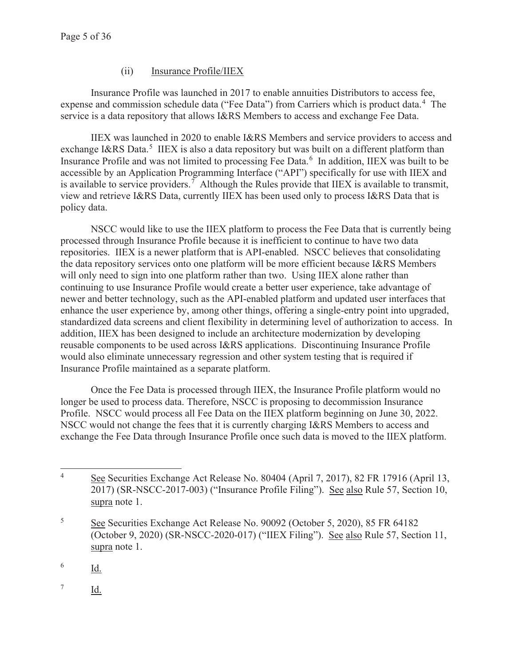## (ii) Insurance Profile/IIEX

Insurance Profile was launched in 2017 to enable annuities Distributors to access fee, expense and commission schedule data ("Fee Data") from Carriers which is product data.<sup>4</sup> The service is a data repository that allows I&RS Members to access and exchange Fee Data.

IIEX was launched in 2020 to enable I&RS Members and service providers to access and exchange I&RS Data.<sup>5</sup> IIEX is also a data repository but was built on a different platform than Insurance Profile and was not limited to processing Fee Data.<sup>6</sup> In addition, IIEX was built to be accessible by an Application Programming Interface ("API") specifically for use with IIEX and is available to service providers.<sup>7</sup> Although the Rules provide that IIEX is available to transmit, view and retrieve I&RS Data, currently IIEX has been used only to process I&RS Data that is policy data.

NSCC would like to use the IIEX platform to process the Fee Data that is currently being processed through Insurance Profile because it is inefficient to continue to have two data repositories. IIEX is a newer platform that is API-enabled. NSCC believes that consolidating the data repository services onto one platform will be more efficient because I&RS Members will only need to sign into one platform rather than two. Using IIEX alone rather than continuing to use Insurance Profile would create a better user experience, take advantage of newer and better technology, such as the API-enabled platform and updated user interfaces that enhance the user experience by, among other things, offering a single-entry point into upgraded, standardized data screens and client flexibility in determining level of authorization to access. In addition, IIEX has been designed to include an architecture modernization by developing reusable components to be used across I&RS applications. Discontinuing Insurance Profile would also eliminate unnecessary regression and other system testing that is required if Insurance Profile maintained as a separate platform.

Once the Fee Data is processed through IIEX, the Insurance Profile platform would no longer be used to process data. Therefore, NSCC is proposing to decommission Insurance Profile. NSCC would process all Fee Data on the IIEX platform beginning on June 30, 2022. NSCC would not change the fees that it is currently charging I&RS Members to access and exchange the Fee Data through Insurance Profile once such data is moved to the IIEX platform.

6 Id.

7 Id.

<sup>4</sup> See Securities Exchange Act Release No. 80404 (April 7, 2017), 82 FR 17916 (April 13, 2017) (SR-NSCC-2017-003) ("Insurance Profile Filing"). See also Rule 57, Section 10, supra note 1.

<sup>5</sup> See Securities Exchange Act Release No. 90092 (October 5, 2020), 85 FR 64182 (October 9, 2020) (SR-NSCC-2020-017) ("IIEX Filing"). See also Rule 57, Section 11, supra note 1.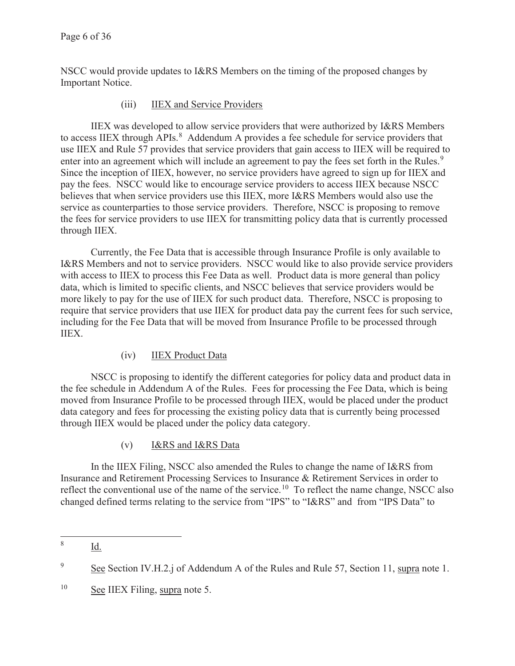NSCC would provide updates to I&RS Members on the timing of the proposed changes by Important Notice.

## (iii) IIEX and Service Providers

IIEX was developed to allow service providers that were authorized by I&RS Members to access IIEX through  $APIs.<sup>8</sup>$  Addendum A provides a fee schedule for service providers that use IIEX and Rule 57 provides that service providers that gain access to IIEX will be required to enter into an agreement which will include an agreement to pay the fees set forth in the Rules.<sup>9</sup> Since the inception of IIEX, however, no service providers have agreed to sign up for IIEX and pay the fees. NSCC would like to encourage service providers to access IIEX because NSCC believes that when service providers use this IIEX, more I&RS Members would also use the service as counterparties to those service providers. Therefore, NSCC is proposing to remove the fees for service providers to use IIEX for transmitting policy data that is currently processed through IIEX.

Currently, the Fee Data that is accessible through Insurance Profile is only available to I&RS Members and not to service providers. NSCC would like to also provide service providers with access to IIEX to process this Fee Data as well. Product data is more general than policy data, which is limited to specific clients, and NSCC believes that service providers would be more likely to pay for the use of IIEX for such product data. Therefore, NSCC is proposing to require that service providers that use IIEX for product data pay the current fees for such service, including for the Fee Data that will be moved from Insurance Profile to be processed through IIEX.

## (iv) IIEX Product Data

NSCC is proposing to identify the different categories for policy data and product data in the fee schedule in Addendum A of the Rules. Fees for processing the Fee Data, which is being moved from Insurance Profile to be processed through IIEX, would be placed under the product data category and fees for processing the existing policy data that is currently being processed through IIEX would be placed under the policy data category.

## (v) I&RS and I&RS Data

In the IIEX Filing, NSCC also amended the Rules to change the name of I&RS from Insurance and Retirement Processing Services to Insurance & Retirement Services in order to reflect the conventional use of the name of the service.<sup>10</sup> To reflect the name change, NSCC also changed defined terms relating to the service from "IPS" to "I&RS" and from "IPS Data" to

<sup>8</sup> Id.

<sup>9</sup> See Section IV.H.2.j of Addendum A of the Rules and Rule 57, Section 11, supra note 1.

<sup>10</sup> See IIEX Filing, supra note 5.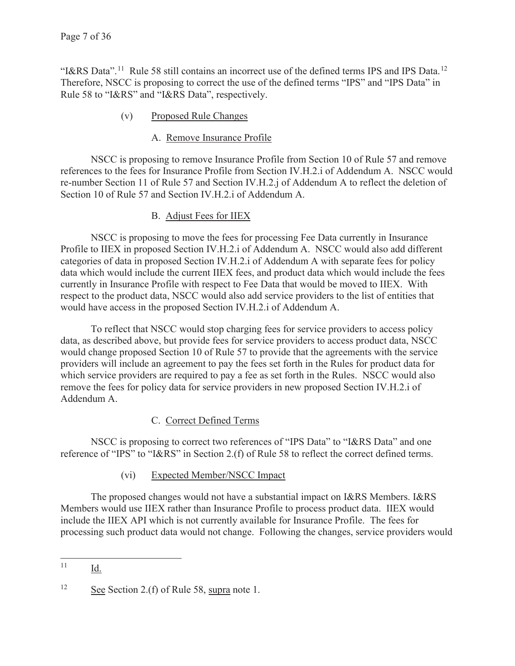"I&RS Data".<sup>11</sup> Rule 58 still contains an incorrect use of the defined terms IPS and IPS Data.<sup>12</sup> Therefore, NSCC is proposing to correct the use of the defined terms "IPS" and "IPS Data" in Rule 58 to "I&RS" and "I&RS Data", respectively.

## (v) Proposed Rule Changes

## A. Remove Insurance Profile

NSCC is proposing to remove Insurance Profile from Section 10 of Rule 57 and remove references to the fees for Insurance Profile from Section IV.H.2.i of Addendum A. NSCC would re-number Section 11 of Rule 57 and Section IV.H.2.j of Addendum A to reflect the deletion of Section 10 of Rule 57 and Section IV.H.2.i of Addendum A.

## B. Adjust Fees for IIEX

NSCC is proposing to move the fees for processing Fee Data currently in Insurance Profile to IIEX in proposed Section IV.H.2.i of Addendum A. NSCC would also add different categories of data in proposed Section IV.H.2.i of Addendum A with separate fees for policy data which would include the current IIEX fees, and product data which would include the fees currently in Insurance Profile with respect to Fee Data that would be moved to IIEX. With respect to the product data, NSCC would also add service providers to the list of entities that would have access in the proposed Section IV.H.2.i of Addendum A.

To reflect that NSCC would stop charging fees for service providers to access policy data, as described above, but provide fees for service providers to access product data, NSCC would change proposed Section 10 of Rule 57 to provide that the agreements with the service providers will include an agreement to pay the fees set forth in the Rules for product data for which service providers are required to pay a fee as set forth in the Rules. NSCC would also remove the fees for policy data for service providers in new proposed Section IV.H.2.i of Addendum A.

## C. Correct Defined Terms

NSCC is proposing to correct two references of "IPS Data" to "I&RS Data" and one reference of "IPS" to "I&RS" in Section 2.(f) of Rule 58 to reflect the correct defined terms.

## (vi) Expected Member/NSCC Impact

The proposed changes would not have a substantial impact on I&RS Members. I&RS Members would use IIEX rather than Insurance Profile to process product data. IIEX would include the IIEX API which is not currently available for Insurance Profile. The fees for processing such product data would not change. Following the changes, service providers would

<sup>11</sup> Id.

<sup>&</sup>lt;sup>12</sup> See Section 2.(f) of Rule 58, supra note 1.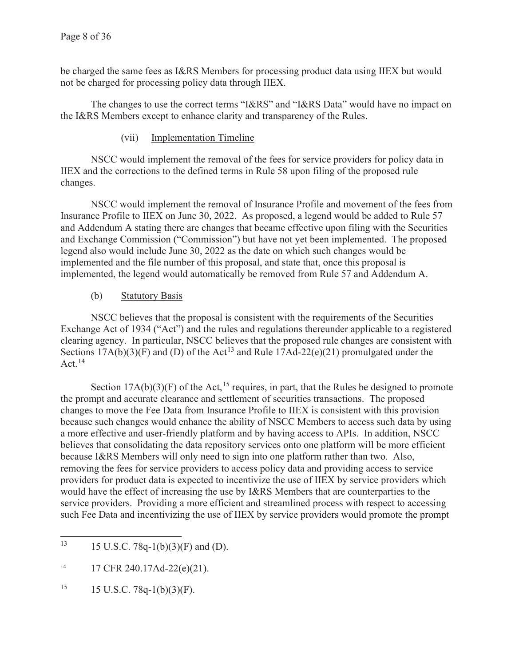be charged the same fees as I&RS Members for processing product data using IIEX but would not be charged for processing policy data through IIEX.

The changes to use the correct terms "I&RS" and "I&RS Data" would have no impact on the I&RS Members except to enhance clarity and transparency of the Rules.

## (vii) Implementation Timeline

NSCC would implement the removal of the fees for service providers for policy data in IIEX and the corrections to the defined terms in Rule 58 upon filing of the proposed rule changes.

NSCC would implement the removal of Insurance Profile and movement of the fees from Insurance Profile to IIEX on June 30, 2022. As proposed, a legend would be added to Rule 57 and Addendum A stating there are changes that became effective upon filing with the Securities and Exchange Commission ("Commission") but have not yet been implemented. The proposed legend also would include June 30, 2022 as the date on which such changes would be implemented and the file number of this proposal, and state that, once this proposal is implemented, the legend would automatically be removed from Rule 57 and Addendum A.

## (b) Statutory Basis

NSCC believes that the proposal is consistent with the requirements of the Securities Exchange Act of 1934 ("Act") and the rules and regulations thereunder applicable to a registered clearing agency. In particular, NSCC believes that the proposed rule changes are consistent with Sections  $17A(b)(3)(F)$  and (D) of the Act<sup>13</sup> and Rule  $17Ad-22(e)(21)$  promulgated under the Act. $^{14}$ 

Section  $17A(b)(3)(F)$  of the Act,<sup>15</sup> requires, in part, that the Rules be designed to promote the prompt and accurate clearance and settlement of securities transactions. The proposed changes to move the Fee Data from Insurance Profile to IIEX is consistent with this provision because such changes would enhance the ability of NSCC Members to access such data by using a more effective and user-friendly platform and by having access to APIs. In addition, NSCC believes that consolidating the data repository services onto one platform will be more efficient because I&RS Members will only need to sign into one platform rather than two. Also, removing the fees for service providers to access policy data and providing access to service providers for product data is expected to incentivize the use of IIEX by service providers which would have the effect of increasing the use by I&RS Members that are counterparties to the service providers. Providing a more efficient and streamlined process with respect to accessing such Fee Data and incentivizing the use of IIEX by service providers would promote the prompt

 $15$  15 U.S.C. 78q-1(b)(3)(F).

<sup>&</sup>lt;sup>13</sup> 15 U.S.C. 78q-1(b)(3)(F) and (D).

<sup>14 17</sup> CFR 240.17Ad-22(e)(21).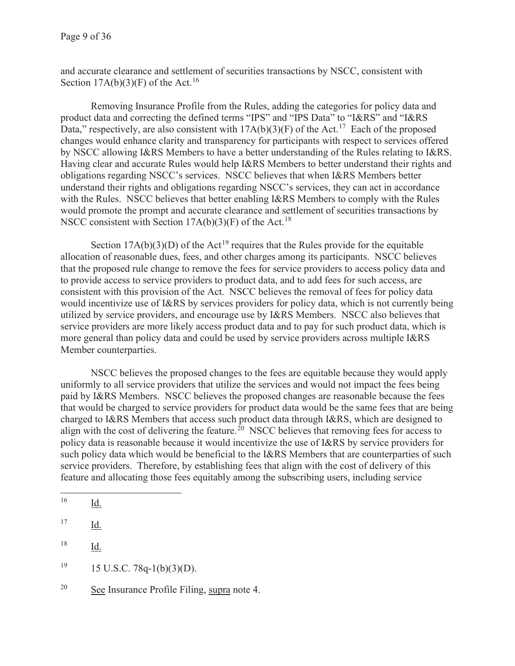and accurate clearance and settlement of securities transactions by NSCC, consistent with Section  $17A(b)(3)(F)$  of the Act.<sup>16</sup>

Removing Insurance Profile from the Rules, adding the categories for policy data and product data and correcting the defined terms "IPS" and "IPS Data" to "I&RS" and "I&RS Data," respectively, are also consistent with  $17A(b)(3)(F)$  of the Act.<sup>17</sup> Each of the proposed changes would enhance clarity and transparency for participants with respect to services offered by NSCC allowing I&RS Members to have a better understanding of the Rules relating to I&RS. Having clear and accurate Rules would help I&RS Members to better understand their rights and obligations regarding NSCC's services. NSCC believes that when I&RS Members better understand their rights and obligations regarding NSCC's services, they can act in accordance with the Rules. NSCC believes that better enabling I&RS Members to comply with the Rules would promote the prompt and accurate clearance and settlement of securities transactions by NSCC consistent with Section  $17A(b)(3)(F)$  of the Act.<sup>18</sup>

Section  $17A(b)(3)(D)$  of the Act<sup>19</sup> requires that the Rules provide for the equitable allocation of reasonable dues, fees, and other charges among its participants. NSCC believes that the proposed rule change to remove the fees for service providers to access policy data and to provide access to service providers to product data, and to add fees for such access, are consistent with this provision of the Act. NSCC believes the removal of fees for policy data would incentivize use of I&RS by services providers for policy data, which is not currently being utilized by service providers, and encourage use by I&RS Members. NSCC also believes that service providers are more likely access product data and to pay for such product data, which is more general than policy data and could be used by service providers across multiple I&RS Member counterparties.

NSCC believes the proposed changes to the fees are equitable because they would apply uniformly to all service providers that utilize the services and would not impact the fees being paid by I&RS Members. NSCC believes the proposed changes are reasonable because the fees that would be charged to service providers for product data would be the same fees that are being charged to I&RS Members that access such product data through I&RS, which are designed to align with the cost of delivering the feature.<sup>20</sup> NSCC believes that removing fees for access to policy data is reasonable because it would incentivize the use of I&RS by service providers for such policy data which would be beneficial to the I&RS Members that are counterparties of such service providers. Therefore, by establishing fees that align with the cost of delivery of this feature and allocating those fees equitably among the subscribing users, including service

- $19$  15 U.S.C. 78q-1(b)(3)(D).
- 20 See Insurance Profile Filing, supra note 4.

 $^{16}$  Id.

<sup>17</sup> Id.

<sup>18</sup> Id.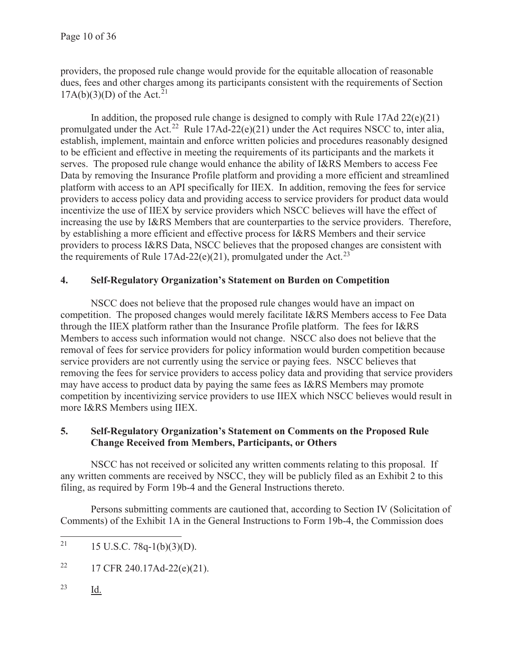providers, the proposed rule change would provide for the equitable allocation of reasonable dues, fees and other charges among its participants consistent with the requirements of Section  $17A(b)(3)(D)$  of the Act.<sup>21</sup>

In addition, the proposed rule change is designed to comply with Rule 17Ad 22(e)(21) promulgated under the Act.<sup>22</sup> Rule 17Ad-22(e)(21) under the Act requires NSCC to, inter alia, establish, implement, maintain and enforce written policies and procedures reasonably designed to be efficient and effective in meeting the requirements of its participants and the markets it serves. The proposed rule change would enhance the ability of I&RS Members to access Fee Data by removing the Insurance Profile platform and providing a more efficient and streamlined platform with access to an API specifically for IIEX. In addition, removing the fees for service providers to access policy data and providing access to service providers for product data would incentivize the use of IIEX by service providers which NSCC believes will have the effect of increasing the use by I&RS Members that are counterparties to the service providers. Therefore, by establishing a more efficient and effective process for I&RS Members and their service providers to process I&RS Data, NSCC believes that the proposed changes are consistent with the requirements of Rule 17Ad-22(e)(21), promulgated under the Act.<sup>23</sup>

## **4. Self-Regulatory Organization's Statement on Burden on Competition**

 NSCC does not believe that the proposed rule changes would have an impact on competition. The proposed changes would merely facilitate I&RS Members access to Fee Data through the IIEX platform rather than the Insurance Profile platform. The fees for I&RS Members to access such information would not change. NSCC also does not believe that the removal of fees for service providers for policy information would burden competition because service providers are not currently using the service or paying fees. NSCC believes that removing the fees for service providers to access policy data and providing that service providers may have access to product data by paying the same fees as I&RS Members may promote competition by incentivizing service providers to use IIEX which NSCC believes would result in more I&RS Members using IIEX.

## **5. Self-Regulatory Organization's Statement on Comments on the Proposed Rule Change Received from Members, Participants, or Others**

NSCC has not received or solicited any written comments relating to this proposal. If any written comments are received by NSCC, they will be publicly filed as an Exhibit 2 to this filing, as required by Form 19b-4 and the General Instructions thereto.

Persons submitting comments are cautioned that, according to Section IV (Solicitation of Comments) of the Exhibit 1A in the General Instructions to Form 19b-4, the Commission does

- <sup>22</sup> 17 CFR 240.17Ad-22(e)(21).
- 23 Id.

<sup>&</sup>lt;sup>21</sup> 15 U.S.C. 78q-1(b)(3)(D).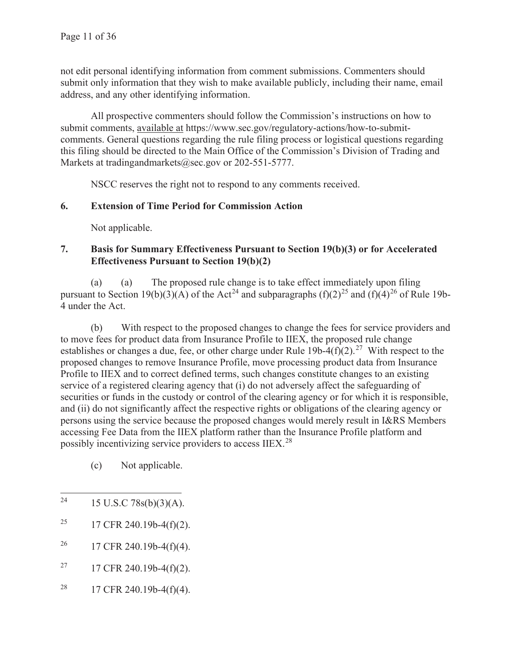not edit personal identifying information from comment submissions. Commenters should submit only information that they wish to make available publicly, including their name, email address, and any other identifying information.

All prospective commenters should follow the Commission's instructions on how to submit comments, available at https://www.sec.gov/regulatory-actions/how-to-submitcomments. General questions regarding the rule filing process or logistical questions regarding this filing should be directed to the Main Office of the Commission's Division of Trading and Markets at tradingandmarkets@sec.gov or 202-551-5777.

NSCC reserves the right not to respond to any comments received.

## **6. Extension of Time Period for Commission Action**

Not applicable.

## **7. Basis for Summary Effectiveness Pursuant to Section 19(b)(3) or for Accelerated Effectiveness Pursuant to Section 19(b)(2)**

(a) (a) The proposed rule change is to take effect immediately upon filing pursuant to Section 19(b)(3)(A) of the Act<sup>24</sup> and subparagraphs (f)(2)<sup>25</sup> and (f)(4)<sup>26</sup> of Rule 19b-4 under the Act.

(b) With respect to the proposed changes to change the fees for service providers and to move fees for product data from Insurance Profile to IIEX, the proposed rule change establishes or changes a due, fee, or other charge under Rule 19b-4(f)(2).<sup>27</sup> With respect to the proposed changes to remove Insurance Profile, move processing product data from Insurance Profile to IIEX and to correct defined terms, such changes constitute changes to an existing service of a registered clearing agency that (i) do not adversely affect the safeguarding of securities or funds in the custody or control of the clearing agency or for which it is responsible, and (ii) do not significantly affect the respective rights or obligations of the clearing agency or persons using the service because the proposed changes would merely result in I&RS Members accessing Fee Data from the IIEX platform rather than the Insurance Profile platform and possibly incentivizing service providers to access IIEX.<sup>28</sup>

- (c) Not applicable.
- <sup>24</sup> 15 U.S.C 78s(b)(3)(A).
- <sup>25</sup> 17 CFR 240.19b-4(f)(2).
- <sup>26</sup> 17 CFR 240.19b-4(f)(4).
- <sup>27</sup> 17 CFR 240.19b-4(f)(2).
- <sup>28</sup> 17 CFR 240.19b-4(f)(4).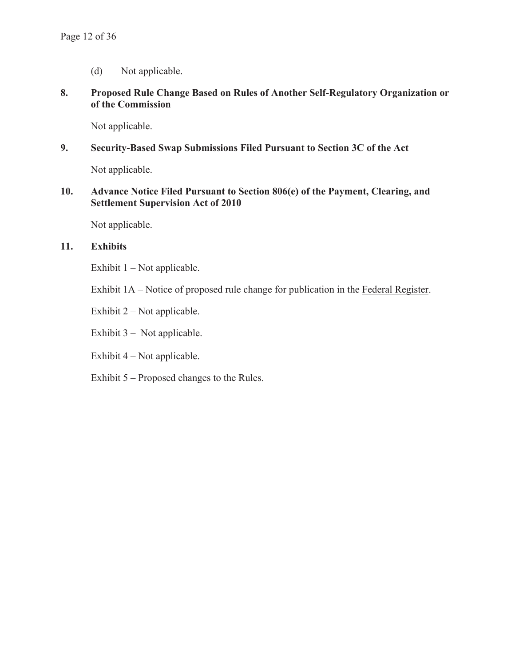(d) Not applicable.

## **8. Proposed Rule Change Based on Rules of Another Self-Regulatory Organization or of the Commission**

Not applicable.

## **9. Security-Based Swap Submissions Filed Pursuant to Section 3C of the Act**

Not applicable.

## **10. Advance Notice Filed Pursuant to Section 806(e) of the Payment, Clearing, and Settlement Supervision Act of 2010**

Not applicable.

## **11. Exhibits**

Exhibit  $1 - Not applicable.$ 

Exhibit 1A – Notice of proposed rule change for publication in the Federal Register.

Exhibit 2 – Not applicable.

Exhibit 3 – Not applicable.

Exhibit 4 – Not applicable.

Exhibit 5 – Proposed changes to the Rules.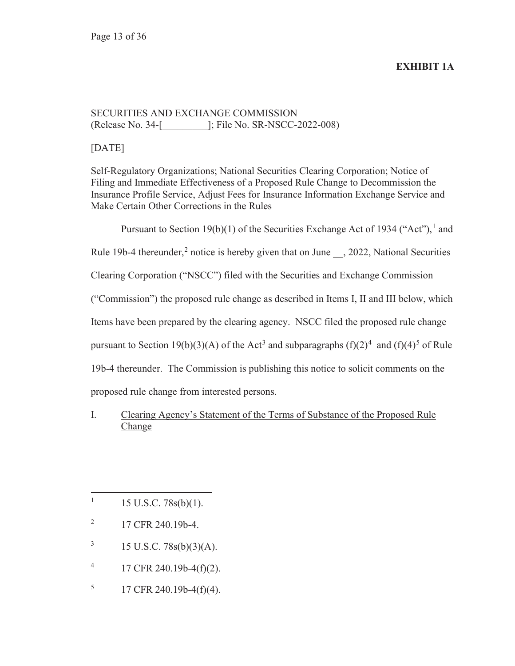## **EXHIBIT 1A**

## SECURITIES AND EXCHANGE COMMISSION (Release No. 34-[\_\_\_\_\_\_\_\_\_]; File No. SR-NSCC-2022-008)

[DATE]

Self-Regulatory Organizations; National Securities Clearing Corporation; Notice of Filing and Immediate Effectiveness of a Proposed Rule Change to Decommission the Insurance Profile Service, Adjust Fees for Insurance Information Exchange Service and Make Certain Other Corrections in the Rules

Pursuant to Section 19(b)(1) of the Securities Exchange Act of 1934 ("Act"),<sup>1</sup> and

Rule 19b-4 thereunder,<sup>2</sup> notice is hereby given that on June  $\,$ , 2022, National Securities

Clearing Corporation ("NSCC") filed with the Securities and Exchange Commission

("Commission") the proposed rule change as described in Items I, II and III below, which

Items have been prepared by the clearing agency. NSCC filed the proposed rule change

pursuant to Section 19(b)(3)(A) of the Act<sup>3</sup> and subparagraphs  $(f)(2)^4$  and  $(f)(4)^5$  of Rule

19b-4 thereunder. The Commission is publishing this notice to solicit comments on the

proposed rule change from interested persons.

I. Clearing Agency's Statement of the Terms of Substance of the Proposed Rule Change

- 2 17 CFR 240.19b-4.
- 3 15 U.S.C. 78s(b)(3)(A).
- 4 17 CFR 240.19b-4(f)(2).
- 5 17 CFR 240.19b-4(f)(4).

<sup>1</sup> 15 U.S.C. 78s(b)(1).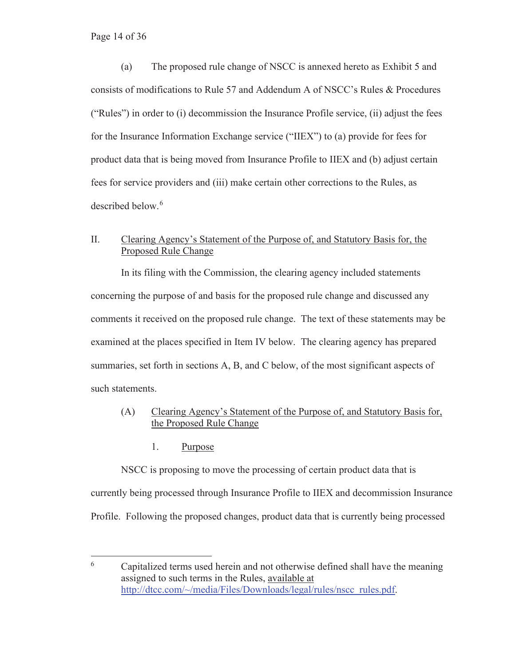Page 14 of 36

(a) The proposed rule change of NSCC is annexed hereto as Exhibit 5 and consists of modifications to Rule 57 and Addendum A of NSCC's Rules & Procedures ("Rules") in order to (i) decommission the Insurance Profile service, (ii) adjust the fees for the Insurance Information Exchange service ("IIEX") to (a) provide for fees for product data that is being moved from Insurance Profile to IIEX and (b) adjust certain fees for service providers and (iii) make certain other corrections to the Rules, as described below.<sup>6</sup>

## II. Clearing Agency's Statement of the Purpose of, and Statutory Basis for, the Proposed Rule Change

In its filing with the Commission, the clearing agency included statements concerning the purpose of and basis for the proposed rule change and discussed any comments it received on the proposed rule change. The text of these statements may be examined at the places specified in Item IV below. The clearing agency has prepared summaries, set forth in sections A, B, and C below, of the most significant aspects of such statements.

## (A) Clearing Agency's Statement of the Purpose of, and Statutory Basis for, the Proposed Rule Change

1. Purpose

NSCC is proposing to move the processing of certain product data that is currently being processed through Insurance Profile to IIEX and decommission Insurance Profile. Following the proposed changes, product data that is currently being processed

<sup>6</sup> Capitalized terms used herein and not otherwise defined shall have the meaning assigned to such terms in the Rules, available at http://dtcc.com/~/media/Files/Downloads/legal/rules/nscc rules.pdf.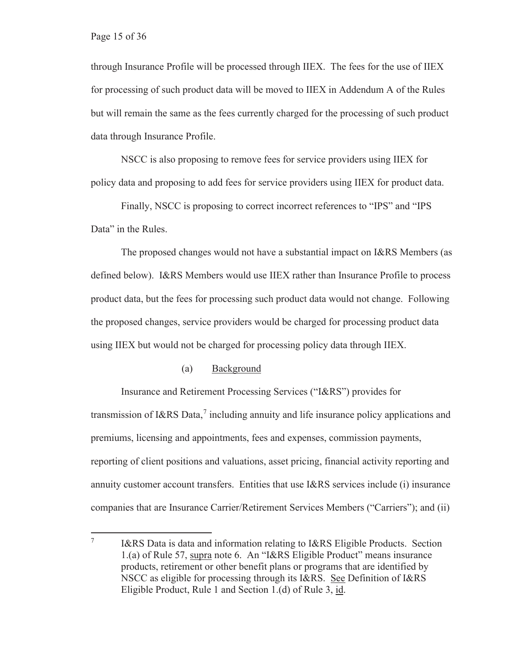through Insurance Profile will be processed through IIEX. The fees for the use of IIEX for processing of such product data will be moved to IIEX in Addendum A of the Rules but will remain the same as the fees currently charged for the processing of such product data through Insurance Profile.

NSCC is also proposing to remove fees for service providers using IIEX for policy data and proposing to add fees for service providers using IIEX for product data.

Finally, NSCC is proposing to correct incorrect references to "IPS" and "IPS Data" in the Rules.

The proposed changes would not have a substantial impact on I&RS Members (as defined below). I&RS Members would use IIEX rather than Insurance Profile to process product data, but the fees for processing such product data would not change. Following the proposed changes, service providers would be charged for processing product data using IIEX but would not be charged for processing policy data through IIEX.

#### (a) Background

Insurance and Retirement Processing Services ("I&RS") provides for transmission of I&RS Data, $^7$  including annuity and life insurance policy applications and premiums, licensing and appointments, fees and expenses, commission payments, reporting of client positions and valuations, asset pricing, financial activity reporting and annuity customer account transfers. Entities that use I&RS services include (i) insurance companies that are Insurance Carrier/Retirement Services Members ("Carriers"); and (ii)

<sup>7</sup> I&RS Data is data and information relating to I&RS Eligible Products. Section 1.(a) of Rule 57, supra note 6. An "I&RS Eligible Product" means insurance products, retirement or other benefit plans or programs that are identified by NSCC as eligible for processing through its I&RS. See Definition of I&RS Eligible Product, Rule 1 and Section 1.(d) of Rule 3, id.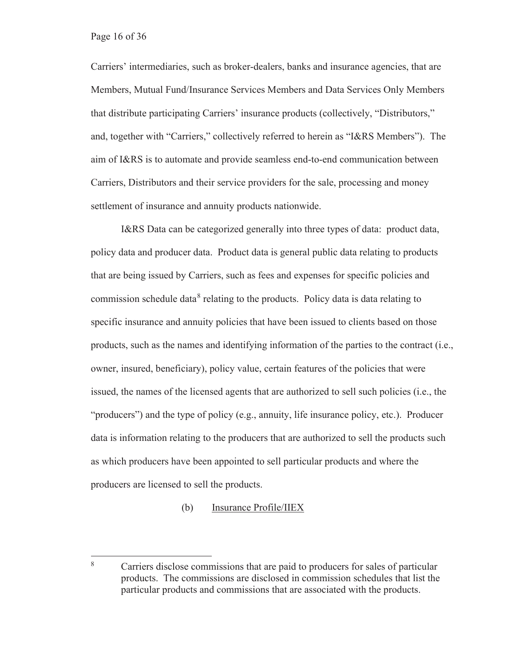Carriers' intermediaries, such as broker-dealers, banks and insurance agencies, that are Members, Mutual Fund/Insurance Services Members and Data Services Only Members that distribute participating Carriers' insurance products (collectively, "Distributors," and, together with "Carriers," collectively referred to herein as "I&RS Members"). The aim of I&RS is to automate and provide seamless end-to-end communication between Carriers, Distributors and their service providers for the sale, processing and money settlement of insurance and annuity products nationwide.

I&RS Data can be categorized generally into three types of data: product data, policy data and producer data. Product data is general public data relating to products that are being issued by Carriers, such as fees and expenses for specific policies and commission schedule data<sup>8</sup> relating to the products. Policy data is data relating to specific insurance and annuity policies that have been issued to clients based on those products, such as the names and identifying information of the parties to the contract (i.e., owner, insured, beneficiary), policy value, certain features of the policies that were issued, the names of the licensed agents that are authorized to sell such policies (i.e., the "producers") and the type of policy (e.g., annuity, life insurance policy, etc.). Producer data is information relating to the producers that are authorized to sell the products such as which producers have been appointed to sell particular products and where the producers are licensed to sell the products.

#### (b) Insurance Profile/IIEX

<sup>8</sup> Carriers disclose commissions that are paid to producers for sales of particular products. The commissions are disclosed in commission schedules that list the particular products and commissions that are associated with the products.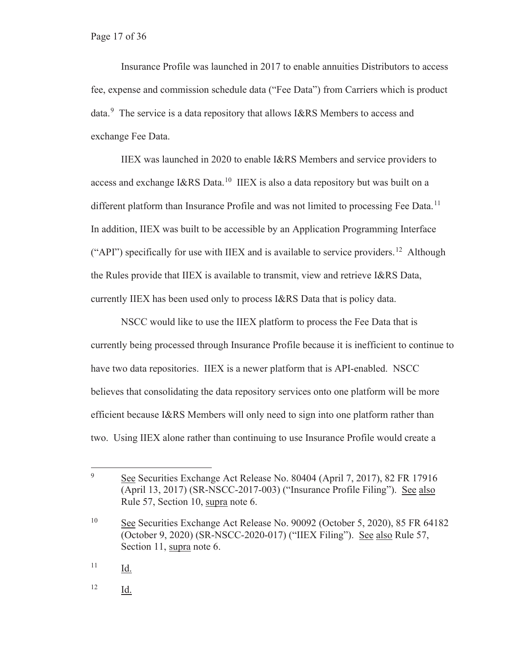Insurance Profile was launched in 2017 to enable annuities Distributors to access fee, expense and commission schedule data ("Fee Data") from Carriers which is product data.<sup>9</sup> The service is a data repository that allows I&RS Members to access and exchange Fee Data.

IIEX was launched in 2020 to enable I&RS Members and service providers to access and exchange I&RS Data.10 IIEX is also a data repository but was built on a different platform than Insurance Profile and was not limited to processing Fee Data.<sup>11</sup> In addition, IIEX was built to be accessible by an Application Programming Interface ("API") specifically for use with IIEX and is available to service providers.<sup>12</sup> Although the Rules provide that IIEX is available to transmit, view and retrieve I&RS Data, currently IIEX has been used only to process I&RS Data that is policy data.

NSCC would like to use the IIEX platform to process the Fee Data that is currently being processed through Insurance Profile because it is inefficient to continue to have two data repositories. IIEX is a newer platform that is API-enabled. NSCC believes that consolidating the data repository services onto one platform will be more efficient because I&RS Members will only need to sign into one platform rather than two. Using IIEX alone rather than continuing to use Insurance Profile would create a

<sup>9</sup> See Securities Exchange Act Release No. 80404 (April 7, 2017), 82 FR 17916 (April 13, 2017) (SR-NSCC-2017-003) ("Insurance Profile Filing"). See also Rule 57, Section 10, supra note 6.

<sup>10</sup> See Securities Exchange Act Release No. 90092 (October 5, 2020), 85 FR 64182 (October 9, 2020) (SR-NSCC-2020-017) ("IIEX Filing"). See also Rule 57, Section 11, supra note 6.

 $11$  Id.

<sup>12</sup> Id.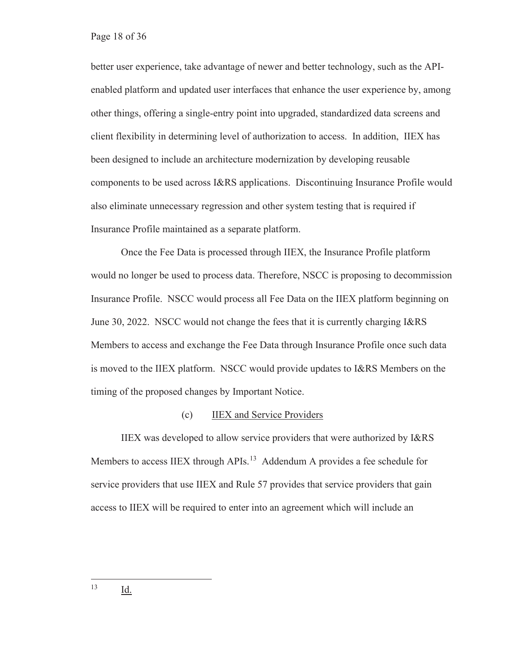better user experience, take advantage of newer and better technology, such as the APIenabled platform and updated user interfaces that enhance the user experience by, among other things, offering a single-entry point into upgraded, standardized data screens and client flexibility in determining level of authorization to access. In addition, IIEX has been designed to include an architecture modernization by developing reusable components to be used across I&RS applications. Discontinuing Insurance Profile would also eliminate unnecessary regression and other system testing that is required if Insurance Profile maintained as a separate platform.

Once the Fee Data is processed through IIEX, the Insurance Profile platform would no longer be used to process data. Therefore, NSCC is proposing to decommission Insurance Profile. NSCC would process all Fee Data on the IIEX platform beginning on June 30, 2022. NSCC would not change the fees that it is currently charging I&RS Members to access and exchange the Fee Data through Insurance Profile once such data is moved to the IIEX platform. NSCC would provide updates to I&RS Members on the timing of the proposed changes by Important Notice.

#### (c) IIEX and Service Providers

IIEX was developed to allow service providers that were authorized by I&RS Members to access IIEX through APIs.<sup>13</sup> Addendum A provides a fee schedule for service providers that use IIEX and Rule 57 provides that service providers that gain access to IIEX will be required to enter into an agreement which will include an

13 Id.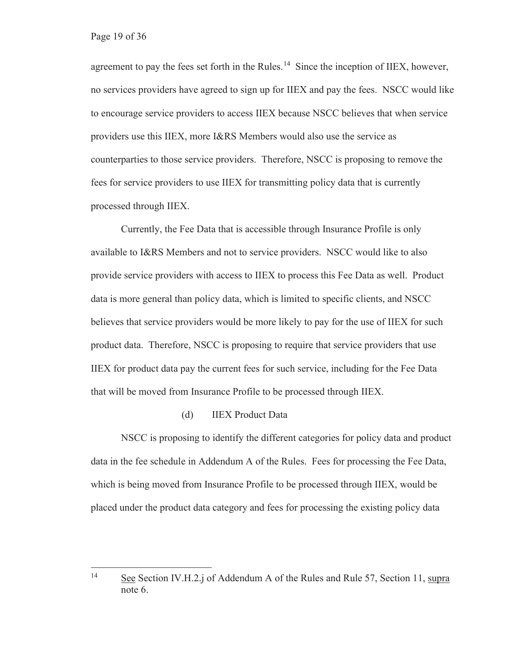agreement to pay the fees set forth in the Rules.<sup>14</sup> Since the inception of IIEX, however, no services providers have agreed to sign up for IIEX and pay the fees. NSCC would like to encourage service providers to access IIEX because NSCC believes that when service providers use this IIEX, more I&RS Members would also use the service as counterparties to those service providers. Therefore, NSCC is proposing to remove the fees for service providers to use IIEX for transmitting policy data that is currently processed through IIEX.

Currently, the Fee Data that is accessible through Insurance Profile is only available to I&RS Members and not to service providers. NSCC would like to also provide service providers with access to IIEX to process this Fee Data as well. Product data is more general than policy data, which is limited to specific clients, and NSCC believes that service providers would be more likely to pay for the use of IIEX for such product data. Therefore, NSCC is proposing to require that service providers that use IIEX for product data pay the current fees for such service, including for the Fee Data that will be moved from Insurance Profile to be processed through IIEX.

#### (d) IIEX Product Data

NSCC is proposing to identify the different categories for policy data and product data in the fee schedule in Addendum A of the Rules. Fees for processing the Fee Data, which is being moved from Insurance Profile to be processed through IIEX, would be placed under the product data category and fees for processing the existing policy data

<sup>14</sup> See Section IV.H.2.j of Addendum A of the Rules and Rule 57, Section 11, supra note 6.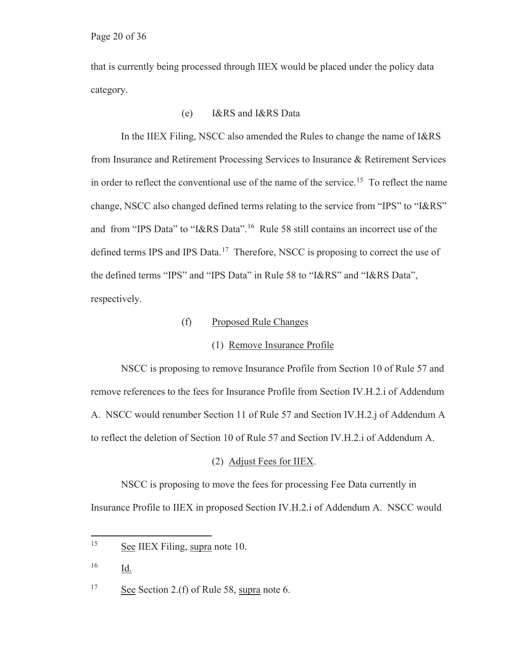that is currently being processed through IIEX would be placed under the policy data category.

## (e) I&RS and I&RS Data

In the IIEX Filing, NSCC also amended the Rules to change the name of I&RS from Insurance and Retirement Processing Services to Insurance & Retirement Services in order to reflect the conventional use of the name of the service.<sup>15</sup> To reflect the name change, NSCC also changed defined terms relating to the service from "IPS" to "I&RS" and from "IPS Data" to "I&RS Data".16 Rule 58 still contains an incorrect use of the defined terms IPS and IPS Data.<sup>17</sup> Therefore, NSCC is proposing to correct the use of the defined terms "IPS" and "IPS Data" in Rule 58 to "I&RS" and "I&RS Data", respectively.

(f) Proposed Rule Changes

#### (1) Remove Insurance Profile

NSCC is proposing to remove Insurance Profile from Section 10 of Rule 57 and remove references to the fees for Insurance Profile from Section IV.H.2.i of Addendum A. NSCC would renumber Section 11 of Rule 57 and Section IV.H.2.j of Addendum A to reflect the deletion of Section 10 of Rule 57 and Section IV.H.2.i of Addendum A.

#### (2) Adjust Fees for IIEX.

NSCC is proposing to move the fees for processing Fee Data currently in Insurance Profile to IIEX in proposed Section IV.H.2.i of Addendum A. NSCC would

 $16$  Id.

<sup>17</sup> See Section 2.(f) of Rule 58, supra note 6.

<sup>&</sup>lt;sup>15</sup> See IIEX Filing, supra note 10.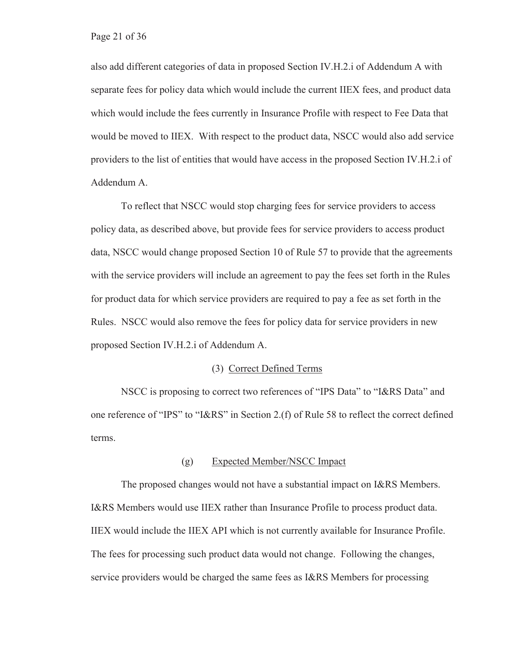also add different categories of data in proposed Section IV.H.2.i of Addendum A with separate fees for policy data which would include the current IIEX fees, and product data which would include the fees currently in Insurance Profile with respect to Fee Data that would be moved to IIEX. With respect to the product data, NSCC would also add service providers to the list of entities that would have access in the proposed Section IV.H.2.i of Addendum A.

To reflect that NSCC would stop charging fees for service providers to access policy data, as described above, but provide fees for service providers to access product data, NSCC would change proposed Section 10 of Rule 57 to provide that the agreements with the service providers will include an agreement to pay the fees set forth in the Rules for product data for which service providers are required to pay a fee as set forth in the Rules. NSCC would also remove the fees for policy data for service providers in new proposed Section IV.H.2.i of Addendum A.

#### (3) Correct Defined Terms

NSCC is proposing to correct two references of "IPS Data" to "I&RS Data" and one reference of "IPS" to "I&RS" in Section 2.(f) of Rule 58 to reflect the correct defined terms.

#### (g) Expected Member/NSCC Impact

The proposed changes would not have a substantial impact on I&RS Members. I&RS Members would use IIEX rather than Insurance Profile to process product data. IIEX would include the IIEX API which is not currently available for Insurance Profile. The fees for processing such product data would not change. Following the changes, service providers would be charged the same fees as I&RS Members for processing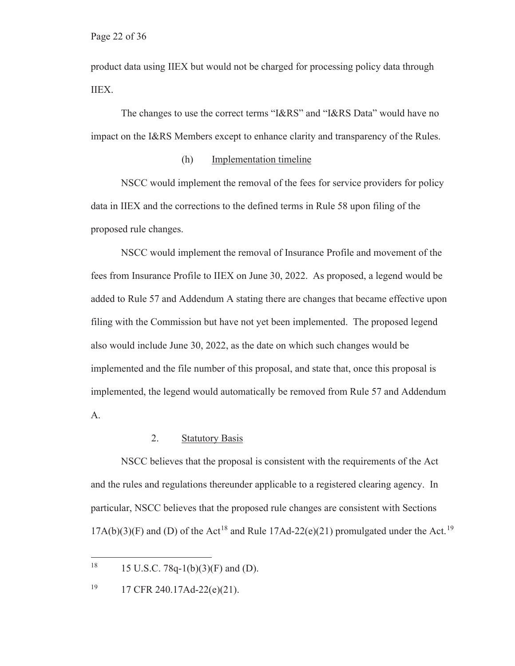product data using IIEX but would not be charged for processing policy data through IIEX.

The changes to use the correct terms "I&RS" and "I&RS Data" would have no impact on the I&RS Members except to enhance clarity and transparency of the Rules.

#### (h) Implementation timeline

NSCC would implement the removal of the fees for service providers for policy data in IIEX and the corrections to the defined terms in Rule 58 upon filing of the proposed rule changes.

NSCC would implement the removal of Insurance Profile and movement of the fees from Insurance Profile to IIEX on June 30, 2022. As proposed, a legend would be added to Rule 57 and Addendum A stating there are changes that became effective upon filing with the Commission but have not yet been implemented. The proposed legend also would include June 30, 2022, as the date on which such changes would be implemented and the file number of this proposal, and state that, once this proposal is implemented, the legend would automatically be removed from Rule 57 and Addendum A.

#### 2. Statutory Basis

NSCC believes that the proposal is consistent with the requirements of the Act and the rules and regulations thereunder applicable to a registered clearing agency. In particular, NSCC believes that the proposed rule changes are consistent with Sections  $17A(b)(3)(F)$  and (D) of the Act<sup>18</sup> and Rule  $17Ad-22(e)(21)$  promulgated under the Act.<sup>19</sup>

<sup>&</sup>lt;sup>18</sup> 15 U.S.C. 78q-1(b)(3)(F) and (D).

<sup>19 17</sup> CFR 240.17Ad-22(e)(21).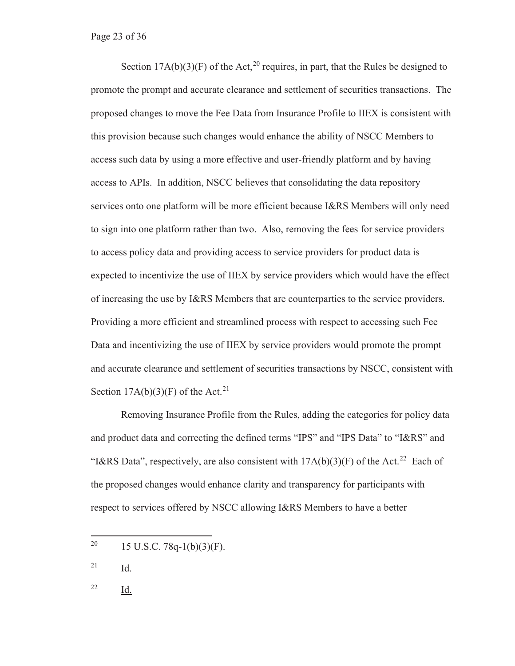Section  $17A(b)(3)(F)$  of the Act,<sup>20</sup> requires, in part, that the Rules be designed to promote the prompt and accurate clearance and settlement of securities transactions. The proposed changes to move the Fee Data from Insurance Profile to IIEX is consistent with this provision because such changes would enhance the ability of NSCC Members to access such data by using a more effective and user-friendly platform and by having access to APIs. In addition, NSCC believes that consolidating the data repository services onto one platform will be more efficient because I&RS Members will only need to sign into one platform rather than two. Also, removing the fees for service providers to access policy data and providing access to service providers for product data is expected to incentivize the use of IIEX by service providers which would have the effect of increasing the use by I&RS Members that are counterparties to the service providers. Providing a more efficient and streamlined process with respect to accessing such Fee Data and incentivizing the use of IIEX by service providers would promote the prompt and accurate clearance and settlement of securities transactions by NSCC, consistent with Section  $17A(b)(3)(F)$  of the Act.<sup>21</sup>

Removing Insurance Profile from the Rules, adding the categories for policy data and product data and correcting the defined terms "IPS" and "IPS Data" to "I&RS" and "I&RS Data", respectively, are also consistent with  $17A(b)(3)(F)$  of the Act.<sup>22</sup> Each of the proposed changes would enhance clarity and transparency for participants with respect to services offered by NSCC allowing I&RS Members to have a better

 $^{21}$  Id.

22 Id.

<sup>&</sup>lt;sup>20</sup> 15 U.S.C. 78q-1(b)(3)(F).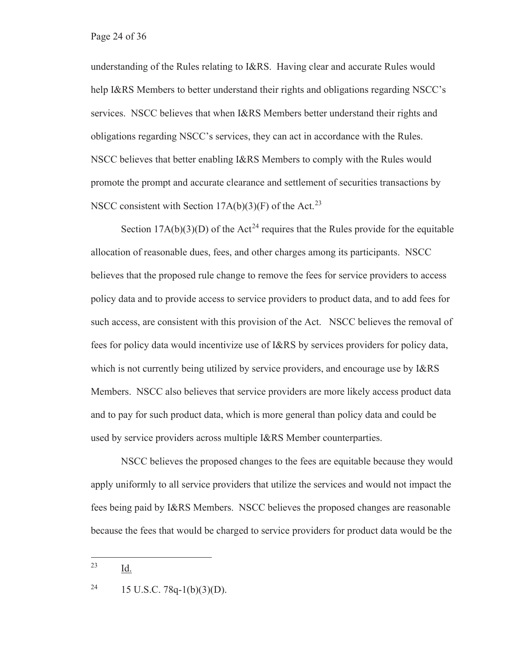understanding of the Rules relating to I&RS. Having clear and accurate Rules would help I&RS Members to better understand their rights and obligations regarding NSCC's services. NSCC believes that when I&RS Members better understand their rights and obligations regarding NSCC's services, they can act in accordance with the Rules. NSCC believes that better enabling I&RS Members to comply with the Rules would promote the prompt and accurate clearance and settlement of securities transactions by NSCC consistent with Section  $17A(b)(3)(F)$  of the Act.<sup>23</sup>

Section  $17A(b)(3)(D)$  of the Act<sup>24</sup> requires that the Rules provide for the equitable allocation of reasonable dues, fees, and other charges among its participants. NSCC believes that the proposed rule change to remove the fees for service providers to access policy data and to provide access to service providers to product data, and to add fees for such access, are consistent with this provision of the Act. NSCC believes the removal of fees for policy data would incentivize use of I&RS by services providers for policy data, which is not currently being utilized by service providers, and encourage use by I&RS Members. NSCC also believes that service providers are more likely access product data and to pay for such product data, which is more general than policy data and could be used by service providers across multiple I&RS Member counterparties.

NSCC believes the proposed changes to the fees are equitable because they would apply uniformly to all service providers that utilize the services and would not impact the fees being paid by I&RS Members. NSCC believes the proposed changes are reasonable because the fees that would be charged to service providers for product data would be the

<sup>23</sup> Id.

<sup>&</sup>lt;sup>24</sup> 15 U.S.C. 78q-1(b)(3)(D).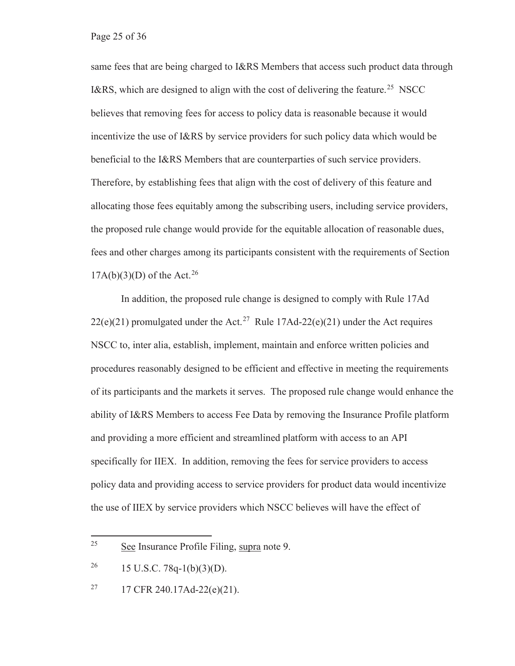same fees that are being charged to I&RS Members that access such product data through I&RS, which are designed to align with the cost of delivering the feature.<sup>25</sup> NSCC believes that removing fees for access to policy data is reasonable because it would incentivize the use of I&RS by service providers for such policy data which would be beneficial to the I&RS Members that are counterparties of such service providers. Therefore, by establishing fees that align with the cost of delivery of this feature and allocating those fees equitably among the subscribing users, including service providers, the proposed rule change would provide for the equitable allocation of reasonable dues, fees and other charges among its participants consistent with the requirements of Section  $17A(b)(3)(D)$  of the Act.<sup>26</sup>

In addition, the proposed rule change is designed to comply with Rule 17Ad 22(e)(21) promulgated under the Act.<sup>27</sup> Rule 17Ad-22(e)(21) under the Act requires NSCC to, inter alia, establish, implement, maintain and enforce written policies and procedures reasonably designed to be efficient and effective in meeting the requirements of its participants and the markets it serves. The proposed rule change would enhance the ability of I&RS Members to access Fee Data by removing the Insurance Profile platform and providing a more efficient and streamlined platform with access to an API specifically for IIEX. In addition, removing the fees for service providers to access policy data and providing access to service providers for product data would incentivize the use of IIEX by service providers which NSCC believes will have the effect of

<sup>25</sup> See Insurance Profile Filing, supra note 9.

<sup>&</sup>lt;sup>26</sup> 15 U.S.C. 78q-1(b)(3)(D).

<sup>&</sup>lt;sup>27</sup> 17 CFR 240.17Ad-22(e)(21).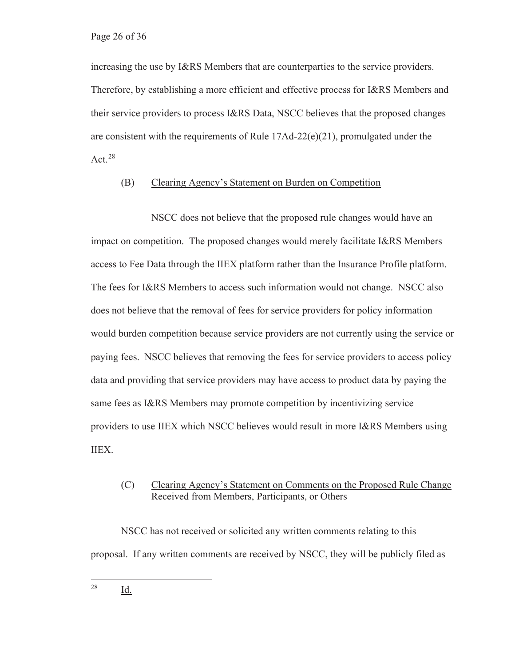increasing the use by I&RS Members that are counterparties to the service providers. Therefore, by establishing a more efficient and effective process for I&RS Members and their service providers to process I&RS Data, NSCC believes that the proposed changes are consistent with the requirements of Rule 17Ad-22(e)(21), promulgated under the Act.<sup>28</sup>

#### (B) Clearing Agency's Statement on Burden on Competition

 NSCC does not believe that the proposed rule changes would have an impact on competition. The proposed changes would merely facilitate I&RS Members access to Fee Data through the IIEX platform rather than the Insurance Profile platform. The fees for I&RS Members to access such information would not change. NSCC also does not believe that the removal of fees for service providers for policy information would burden competition because service providers are not currently using the service or paying fees. NSCC believes that removing the fees for service providers to access policy data and providing that service providers may have access to product data by paying the same fees as I&RS Members may promote competition by incentivizing service providers to use IIEX which NSCC believes would result in more I&RS Members using IIEX.

## (C) Clearing Agency's Statement on Comments on the Proposed Rule Change Received from Members, Participants, or Others

NSCC has not received or solicited any written comments relating to this proposal. If any written comments are received by NSCC, they will be publicly filed as

28 Id.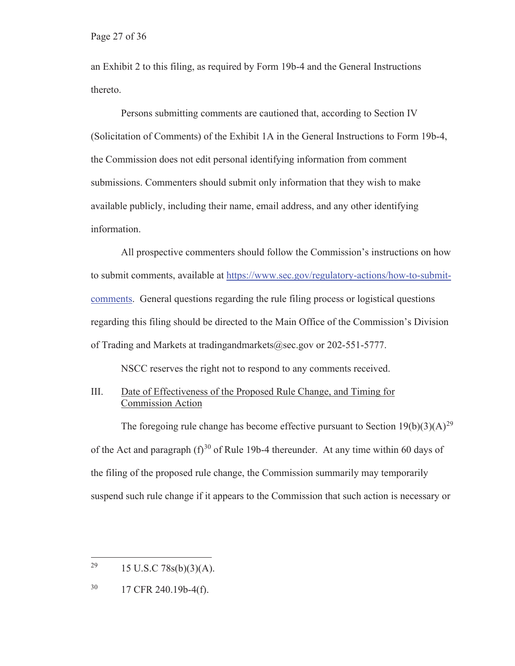an Exhibit 2 to this filing, as required by Form 19b-4 and the General Instructions thereto.

Persons submitting comments are cautioned that, according to Section IV (Solicitation of Comments) of the Exhibit 1A in the General Instructions to Form 19b-4, the Commission does not edit personal identifying information from comment submissions. Commenters should submit only information that they wish to make available publicly, including their name, email address, and any other identifying information.

All prospective commenters should follow the Commission's instructions on how to submit comments, available at https://www.sec.gov/regulatory-actions/how-to-submitcomments. General questions regarding the rule filing process or logistical questions regarding this filing should be directed to the Main Office of the Commission's Division of Trading and Markets at tradingandmarkets@sec.gov or 202-551-5777.

NSCC reserves the right not to respond to any comments received.

## III. Date of Effectiveness of the Proposed Rule Change, and Timing for Commission Action

The foregoing rule change has become effective pursuant to Section 19(b)(3)(A)<sup>29</sup> of the Act and paragraph  $(f)^{30}$  of Rule 19b-4 thereunder. At any time within 60 days of the filing of the proposed rule change, the Commission summarily may temporarily suspend such rule change if it appears to the Commission that such action is necessary or

<sup>&</sup>lt;sup>29</sup> 15 U.S.C 78s(b)(3)(A).

<sup>30 17</sup> CFR 240.19b-4(f).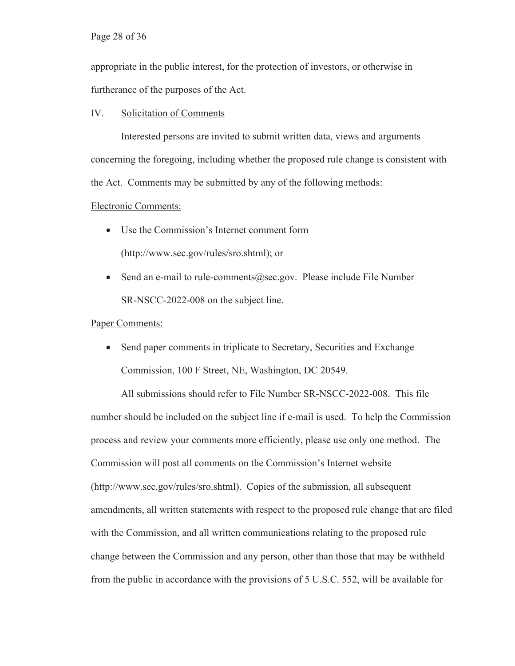appropriate in the public interest, for the protection of investors, or otherwise in furtherance of the purposes of the Act.

#### IV. Solicitation of Comments

Interested persons are invited to submit written data, views and arguments concerning the foregoing, including whether the proposed rule change is consistent with the Act. Comments may be submitted by any of the following methods:

#### Electronic Comments:

- Use the Commission's Internet comment form (http://www.sec.gov/rules/sro.shtml); or
- Send an e-mail to rule-comments@sec.gov. Please include File Number SR-NSCC-2022-008 on the subject line.

#### Paper Comments:

• Send paper comments in triplicate to Secretary, Securities and Exchange Commission, 100 F Street, NE, Washington, DC 20549.

All submissions should refer to File Number SR-NSCC-2022-008.This file number should be included on the subject line if e-mail is used. To help the Commission process and review your comments more efficiently, please use only one method. The Commission will post all comments on the Commission's Internet website (http://www.sec.gov/rules/sro.shtml). Copies of the submission, all subsequent amendments, all written statements with respect to the proposed rule change that are filed with the Commission, and all written communications relating to the proposed rule change between the Commission and any person, other than those that may be withheld from the public in accordance with the provisions of 5 U.S.C. 552, will be available for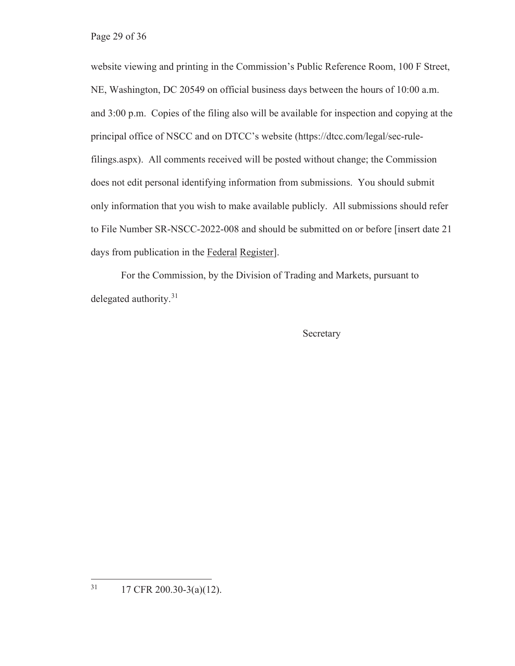website viewing and printing in the Commission's Public Reference Room, 100 F Street, NE, Washington, DC 20549 on official business days between the hours of 10:00 a.m. and 3:00 p.m. Copies of the filing also will be available for inspection and copying at the principal office of NSCC and on DTCC's website (https://dtcc.com/legal/sec-rulefilings.aspx). All comments received will be posted without change; the Commission does not edit personal identifying information from submissions. You should submit only information that you wish to make available publicly. All submissions should refer to File Number SR-NSCC-2022-008 and should be submitted on or before [insert date 21 days from publication in the Federal Register].

For the Commission, by the Division of Trading and Markets, pursuant to delegated authority.<sup>31</sup>

Secretary

 $31$  17 CFR 200.30-3(a)(12).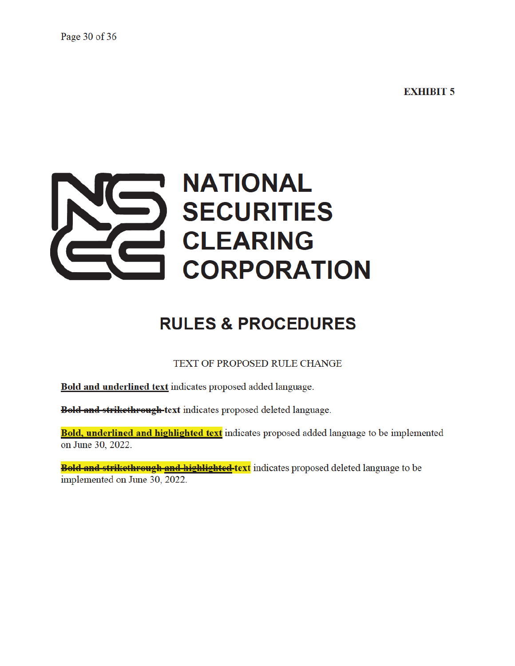**EXHIBIT 5** 

# **NATIONAL SECURITIES CLEARING CORPORATION**

## **RULES & PROCEDURES**

TEXT OF PROPOSED RULE CHANGE

**Bold and underlined text** indicates proposed added language.

**Bold and strikethrough-text** indicates proposed deleted language.

Bold, underlined and highlighted text indicates proposed added language to be implemented on June 30, 2022.

**Bold and strikethrough and highlighted-text** indicates proposed deleted language to be implemented on June 30, 2022.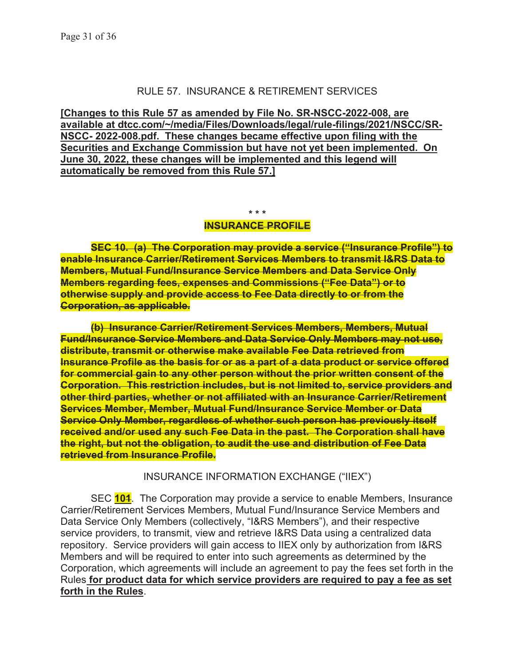## RULE 57. INSURANCE & RETIREMENT SERVICES

**[Changes to this Rule 57 as amended by File No. SR-NSCC-2022-008, are available at dtcc.com/~/media/Files/Downloads/legal/rule-filings/2021/NSCC/SR-NSCC- 2022-008.pdf. These changes became effective upon filing with the Securities and Exchange Commission but have not yet been implemented. On June 30, 2022, these changes will be implemented and this legend will automatically be removed from this Rule 57.]** 

**\* \* \*** 

#### **INSURANCE PROFILE**

**SEC 10. (a) The Corporation may provide a service ("Insurance Profile") to enable Insurance Carrier/Retirement Services Members to transmit I&RS Data to Members, Mutual Fund/Insurance Service Members and Data Service Only Members regarding fees, expenses and Commissions ("Fee Data") or to otherwise supply and provide access to Fee Data directly to or from the Corporation, as applicable.** 

**(b) Insurance Carrier/Retirement Services Members, Members, Mutual Fund/Insurance Service Members and Data Service Only Members may not use, distribute, transmit or otherwise make available Fee Data retrieved from Insurance Profile as the basis for or as a part of a data product or service offered for commercial gain to any other person without the prior written consent of the Corporation. This restriction includes, but is not limited to, service providers and other third parties, whether or not affiliated with an Insurance Carrier/Retirement Services Member, Member, Mutual Fund/Insurance Service Member or Data Service Only Member, regardless of whether such person has previously itself received and/or used any such Fee Data in the past. The Corporation shall have the right, but not the obligation, to audit the use and distribution of Fee Data retrieved from Insurance Profile.** 

INSURANCE INFORMATION EXCHANGE ("IIEX")

SEC **101**. The Corporation may provide a service to enable Members, Insurance Carrier/Retirement Services Members, Mutual Fund/Insurance Service Members and Data Service Only Members (collectively, "I&RS Members"), and their respective service providers, to transmit, view and retrieve I&RS Data using a centralized data repository. Service providers will gain access to IIEX only by authorization from I&RS Members and will be required to enter into such agreements as determined by the Corporation, which agreements will include an agreement to pay the fees set forth in the Rules **for product data for which service providers are required to pay a fee as set forth in the Rules**.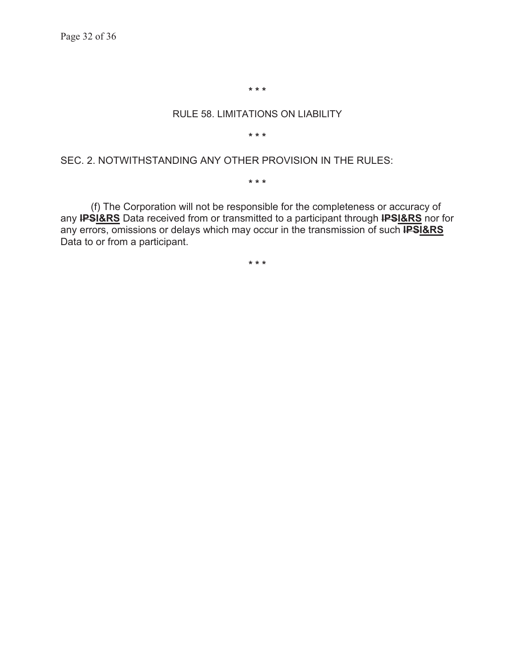**\* \* \*** 

#### RULE 58. LIMITATIONS ON LIABILITY

**\* \* \*** 

#### SEC. 2. NOTWITHSTANDING ANY OTHER PROVISION IN THE RULES:

**\* \* \*** 

(f) The Corporation will not be responsible for the completeness or accuracy of any **IPSI&RS** Data received from or transmitted to a participant through **IPSI&RS** nor for any errors, omissions or delays which may occur in the transmission of such **IPSI&RS** Data to or from a participant.

**\* \* \***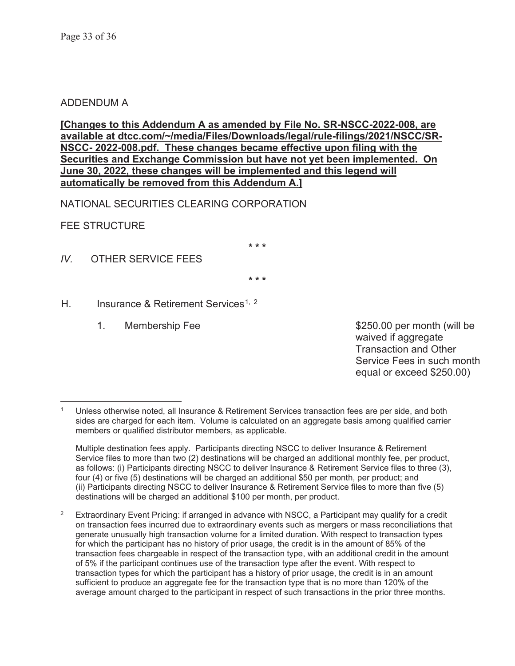## ADDENDUM A

**[Changes to this Addendum A as amended by File No. SR-NSCC-2022-008, are available at dtcc.com/~/media/Files/Downloads/legal/rule-filings/2021/NSCC/SR-NSCC- 2022-008.pdf. These changes became effective upon filing with the Securities and Exchange Commission but have not yet been implemented. On June 30, 2022, these changes will be implemented and this legend will automatically be removed from this Addendum A.]** 

NATIONAL SECURITIES CLEARING CORPORATION

FEE STRUCTURE

**\* \* \*** 

*IV.* OTHER SERVICE FEES

**\* \* \*** 

H. Insurance & Retirement Services<sup>1, 2</sup>

1. Membership Fee  $$250.00$  per month (will be waived if aggregate Transaction and Other Service Fees in such month equal or exceed \$250.00)

Multiple destination fees apply. Participants directing NSCC to deliver Insurance & Retirement Service files to more than two (2) destinations will be charged an additional monthly fee, per product, as follows: (i) Participants directing NSCC to deliver Insurance & Retirement Service files to three (3), four (4) or five (5) destinations will be charged an additional \$50 per month, per product; and (ii) Participants directing NSCC to deliver Insurance & Retirement Service files to more than five (5) destinations will be charged an additional \$100 per month, per product.

 $2$  Extraordinary Event Pricing: if arranged in advance with NSCC, a Participant may qualify for a credit on transaction fees incurred due to extraordinary events such as mergers or mass reconciliations that generate unusually high transaction volume for a limited duration. With respect to transaction types for which the participant has no history of prior usage, the credit is in the amount of 85% of the transaction fees chargeable in respect of the transaction type, with an additional credit in the amount of 5% if the participant continues use of the transaction type after the event. With respect to transaction types for which the participant has a history of prior usage, the credit is in an amount sufficient to produce an aggregate fee for the transaction type that is no more than 120% of the average amount charged to the participant in respect of such transactions in the prior three months.

Unless otherwise noted, all Insurance & Retirement Services transaction fees are per side, and both sides are charged for each item. Volume is calculated on an aggregate basis among qualified carrier members or qualified distributor members, as applicable.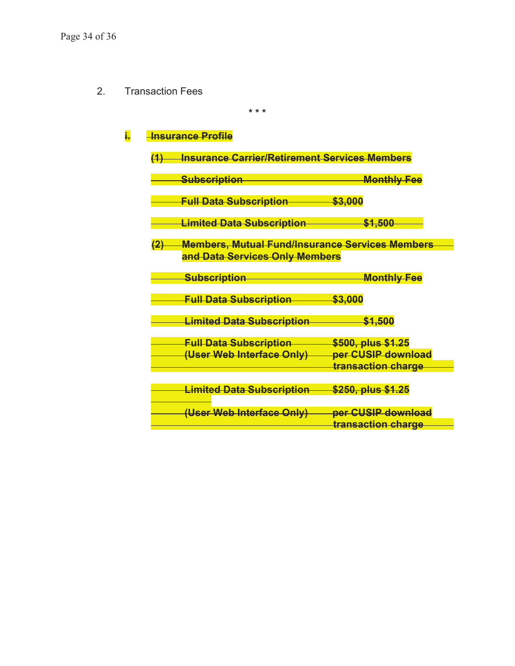2. Transaction Fees

**\* \* \*** 

## **i. Hnsurance Profile**

| (1  | <b>Insurance Carrier/Retirement Services Members</b>   |                                                     |  |  |
|-----|--------------------------------------------------------|-----------------------------------------------------|--|--|
|     | <u>Subscription</u>                                    | <b>Monthly Fee</b>                                  |  |  |
|     | <b>Full Data Subscription</b>                          | <del>\$3.000</del>                                  |  |  |
|     | <b>Limited Data Subscription</b>                       | <del>\$1,500</del>                                  |  |  |
| (2) | <b>Members, Mutual Fund/Insurance Services Members</b> |                                                     |  |  |
|     | and Data Services Only Members                         |                                                     |  |  |
|     | <u>Subscription</u>                                    | <b>Monthly Fee</b>                                  |  |  |
|     | <b>Full Data Subscription</b>                          | <del>\$3,000</del>                                  |  |  |
|     | <b>Limited Data Subscription</b>                       | \$1,500                                             |  |  |
|     | <b>Full Data Subscription</b>                          | \$500, plus \$1.25                                  |  |  |
|     | <del>(User Web Interface Only)</del>                   | per CUSIP download<br><del>transaction charge</del> |  |  |
|     |                                                        |                                                     |  |  |
|     | <u>Limited Data Subscription</u>                       | \$250, plus \$1.25                                  |  |  |
|     | (User Web Interface Only)                              | per CUSIP download                                  |  |  |
|     |                                                        | transaction charge                                  |  |  |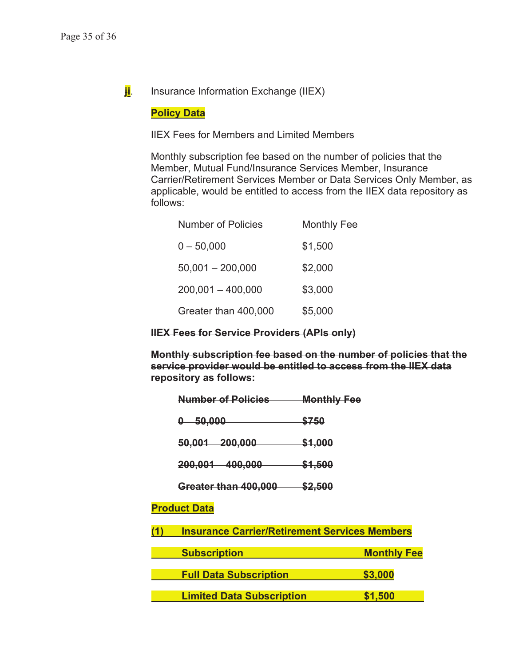**ji**. Insurance Information Exchange (IIEX)

## **Policy Data**

IIEX Fees for Members and Limited Members

Monthly subscription fee based on the number of policies that the Member, Mutual Fund/Insurance Services Member, Insurance Carrier/Retirement Services Member or Data Services Only Member, as applicable, would be entitled to access from the IIEX data repository as follows:

| Number of Policies   | <b>Monthly Fee</b> |  |  |
|----------------------|--------------------|--|--|
| $0 - 50,000$         | \$1,500            |  |  |
| $50,001 - 200,000$   | \$2,000            |  |  |
| $200,001 - 400,000$  | \$3,000            |  |  |
| Greater than 400,000 | \$5,000            |  |  |

## **IIEX Fees for Service Providers (APIs only)**

**Monthly subscription fee based on the number of policies that the service provider would be entitled to access from the IIEX data repository as follows:** 

|     | <b>Number of Policies</b>                            | <b>Monthly Fee</b> |                    |  |
|-----|------------------------------------------------------|--------------------|--------------------|--|
|     | $0 - 50,000$                                         | <del>\$750</del>   |                    |  |
|     | 50,001 200,000                                       | <del>\$1,000</del> |                    |  |
|     | 200,001 400,000                                      | \$1,500            |                    |  |
|     | Greater than 400,000                                 | <u>\$2,500</u>     |                    |  |
|     | <b>Product Data</b>                                  |                    |                    |  |
| (1) | <b>Insurance Carrier/Retirement Services Members</b> |                    |                    |  |
|     | <b>Subscription</b>                                  |                    | <b>Monthly Fee</b> |  |
|     | <b>Full Data Subscription</b>                        |                    | \$3,000            |  |
|     | <b>Limited Data Subscription</b>                     | \$1,500            |                    |  |